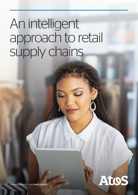# An intelligent approach to retail supply chains



Trusted partner for your Digital Journey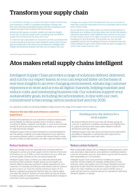### Transform your supply chain

In a world full of change, you need to be ready to adapt: transforming your business to create a competitive advantage, manage cash flow, and achieving sustainability targets while also ensuring you are resilient enough to face whatever the future brings.

Achieving that requires complete visibility and real-time insights across your end-to-end supply chain, something that over 90% of supply-chain professionals say they don't have.<sup>1</sup>

To meet the high expectations of consumers and the accelerated shift to online shopping, businesses need intelligent supply chains that are agile and data-driven with end-to-end transparency. Intelligent data insights and predictive analytics will help you re-imagine how you

manage your supply chain and adapt and scale your processes to meet high consumer expectations and the accelerated shift to online, which is here to stay.

As you transform your supply chain, you need a trusted partner to help guide your strategy around key areas, such as last mile delivery, warehouse automation, order fulfilment and customer service, and provide risk-free access to the latest innovations, such as predictive modelling, IoT, and blockchain. This provides you not only with capabilities but also the knowledge of how to connect the dots and create intelligent supply-chain solutions that are part of a bigger ecosystem that creates business value.

<sup>1</sup> Geodis 2017 Supply Chain Worldwide Study

### Atos makes retail supply chains intelligent

Intelligent Supply Chain provides a range of solutions defined, delivered, and run by our expert teams, so you can respond faster on the basis of real-time insights to an ever-changing environment, enhancing customer experience in-store and across all digital channels, helping maintain and reduce costs, and minimizing business risk. Our solutions support your sustainability goals, including decarbonization, in line with our own commitment to becoming carbon neutral (net zero) by 2035.

Our approach is based on providing intelligent insights across every stage of the supply chain to help you:

#### Improve the last mile and enhance customer experience

Enhance the experience of your customers to improve brand loyalty and profitability, by offering a greater choice of delivery options, including the fastest, cheapest, most flexible, or most environmentally friendly, as well as providing real-time data to enable your customers to make last-minute changes.

Intelligent Supply Chain provides transparency and predictability for last mile delivery, enabling you to take snapshots of your data from any existing software system, combined with external data to model scenarios, create accurate predictions, and offer customers better choice.

#### Reduce business risk

Meet and manage customer expectations by providing real-time transparency across your entire supply chain to improve on-time and in-full delivery by up to 25%, to reduce disruptions by up to 40%, and to ensure quality of goods as they are being transported.

Intelligent Supply Chain combines your data with external data sources to power predictive models, giving you the insights, you need for effective planning, resulting in a better experience for your customers. For example, providing accurate delivery slots for inbound goods to ensure you have the required warehouse space. Or, if a delivery is delayed, providing the real-time data you need to adjust your plans. By using IoT sensors on trucks, alerts can also be shared to protect quality, for example if the on-board temperature changes to a level that could cause degradation.

#### Enabling same-day delivery for a retail supplier

We reduced delivery time to just under 28 minutes, giving our customer a significant competitive advantage and enabling them to supply the products their retail outlets needed to fulfil the demand for same-day delivery.

Intelligent Supply Chain was used to provide process optimization and platform integration, in partnership with a gig-economy platform that matches orders with stock.

#### Reduce carbon footprint

Meet sustainability targets with an intelligence-based approach, which uses automation, data analytics, and predictive modelling to balance customer demand for low-cost, quick-delivery goods with the need to take responsibility for CO2 reduction.

Intelligent Supply Chain uses predictive modelling to support customer decision-making, for example, enabling them to rank what they value most (speed, cost, CO2 impact, flexibility) and then algorithms to offer them the best delivery options based on those values. Our data modelling can also be used to identify areas of waste and see how this could be reduced, for example by optimizing transport, logistics, or storage.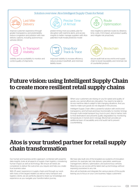#### Solution overview: Atos Intelligent Supply Chain for Retail

Last Mile **Delivery** 

improve customer experience through greater transparency and predictability; reduce congestion and pollution with new delivery options, including autonomous vehicles (AGVs)



visibility and accountability to monitor and control quality of shipments



predict timing more accurately, plan for disruption with real-time alerts, and access insights to better manage suppliers with Atos patented multi-modal predictive model



new insights to optimize routes by distance, time, costs, CO2 impact, and product quality, and mitigate risk proactively



improved visibility to increase efficiency, reduce product loss/theft, and minimize liability issues



secure audit trail across end-to-end supply chain to boost traceability and minimize risk of counterfeit product

### Future vision: using Intelligent Supply Chain to create more resilient retail supply chains



When your customers are relying on you for speed and quality of goods, you cannot afford any disruption. You need to be able to access real-time data to adapt to fast-changing situations. And you need to make sure goods do not degrade in the process.

Intelligent Supply Chain offers a powerful solution with end-to-end transparency and full track-and-trace functionality to monitor timings through multi-modal transport (e.g. truck to port, ship to harbor, train to final destination) and prevents quality degradation by monitoring temperatures in transit and in storage. Blockchain provides an additional layer of traceability and a full audit trail to prevent counterfeiting.

### Atos is your trusted partner for retail supply chain transformation

Our human and business-centric approach, combined with powerful data insights, looks at all aspects of supply chain logistics, considering human impact as well as technology. We ensure all needs are considered, to deliver the outcomes you require and help you create true business value.

With 25 years' experience in supply chains and through our work with many of the largest retailers as well as many transport and logistics clients, we are perfectly placed to share our knowledge and experience as you navigate your transformation journey.

We have also built one of the broadest eco-systems of innovation partners, for example, last mile delivery specialists, warehouse management, delivery optimization, and autonomous vehicles. Meaning you can access all the latest start-up technology without exposing yourselves to any risk.

Atos will orchestrate and integrate the various pieces of the puzzle leaving you to focus on your core business: happy customers!